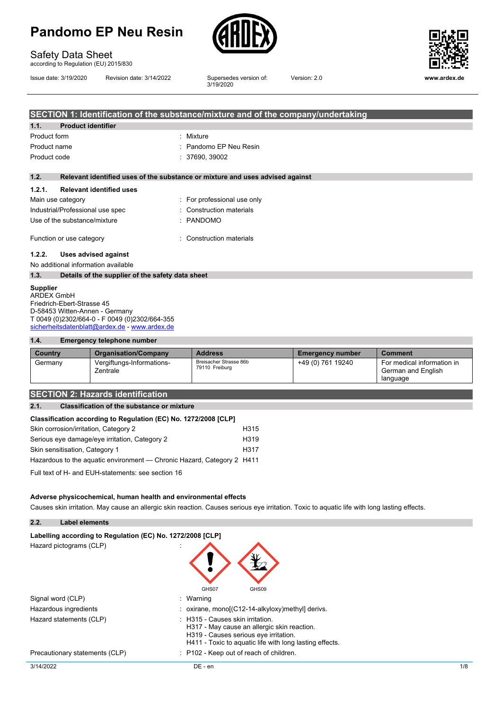

3/19/2020

## Safety Data Sheet

according to Regulation (EU) 2015/830

Issue date: 3/19/2020 Revision date: 3/14/2022 Supersedes version of:



Version: 2.0 **www.ardex.de**

| SECTION 1: Identification of the substance/mixture and of the company/undertaking |                                                                               |                             |  |
|-----------------------------------------------------------------------------------|-------------------------------------------------------------------------------|-----------------------------|--|
| 1.1.                                                                              | <b>Product identifier</b>                                                     |                             |  |
| Product form                                                                      |                                                                               | : Mixture                   |  |
| Product name                                                                      |                                                                               | : Pandomo EP Neu Resin      |  |
| Product code                                                                      |                                                                               | : 37690, 39002              |  |
|                                                                                   |                                                                               |                             |  |
| 1.2.                                                                              | Relevant identified uses of the substance or mixture and uses advised against |                             |  |
| 1.2.1.                                                                            | <b>Relevant identified uses</b>                                               |                             |  |
| Main use category                                                                 |                                                                               | : For professional use only |  |
|                                                                                   | Industrial/Professional use spec                                              | : Construction materials    |  |
|                                                                                   | Use of the substance/mixture                                                  | : PANDOMO                   |  |
| Function or use category                                                          |                                                                               | : Construction materials    |  |

#### **1.2.2. Uses advised against**

No additional information available

**1.3. Details of the supplier of the safety data sheet**

#### **Supplier**

ARDEX GmbH Friedrich-Ebert-Strasse 45 D-58453 Witten-Annen - Germany T 0049 (0)2302/664-0 - F 0049 (0)2302/664-355 [sicherheitsdatenblatt@ardex.de](mailto:sicherheitsdatenblatt@ardex.de) - [www.ardex.de](http://www.ardex.de/)

#### **1.4. Emergency telephone number**

| Country | <b>Organisation/Company</b>           | <b>Address</b>                           | <b>Emergency number</b> | <b>Comment</b>                                               |
|---------|---------------------------------------|------------------------------------------|-------------------------|--------------------------------------------------------------|
| Germany | Vergiftungs-Informations-<br>Zentrale | Breisacher Strasse 86b<br>79110 Freiburg | +49 (0) 761 19240       | For medical information in<br>German and English<br>language |

### **SECTION 2: Hazards identification**

#### **2.1. Classification of the substance or mixture**

| Skin corrosion/irritation, Category 2                                  | H315             |
|------------------------------------------------------------------------|------------------|
| Serious eye damage/eye irritation, Category 2                          | H <sub>319</sub> |
| Skin sensitisation, Category 1                                         | H317             |
| Hazardous to the aquatic environment — Chronic Hazard, Category 2 H411 |                  |

Full text of H- and EUH-statements: see section 16

#### **Adverse physicochemical, human health and environmental effects**

Causes skin irritation. May cause an allergic skin reaction. Causes serious eye irritation. Toxic to aquatic life with long lasting effects.

#### **2.2. Label elements**

| Labelling according to Regulation (EC) No. 1272/2008 [CLP] |  |                              |  |
|------------------------------------------------------------|--|------------------------------|--|
| Hazard pictograms (CLP)                                    |  | $\left\langle \right\rangle$ |  |

|                                | GHS07<br>GHS09                                                                                                                                                                      |              |
|--------------------------------|-------------------------------------------------------------------------------------------------------------------------------------------------------------------------------------|--------------|
| Signal word (CLP)              | : Warning                                                                                                                                                                           |              |
| Hazardous ingredients          | : oxirane, mono[ $(C12-14-alkyloxy)$ methyl] derivs.                                                                                                                                |              |
| Hazard statements (CLP)        | : H315 - Causes skin irritation.<br>H317 - May cause an allergic skin reaction.<br>H319 - Causes serious eye irritation.<br>H411 - Toxic to aguatic life with long lasting effects. |              |
| Precautionary statements (CLP) | : P102 - Keep out of reach of children.                                                                                                                                             |              |
| 3/14/2022                      | DE - en                                                                                                                                                                             | $1/\epsilon$ |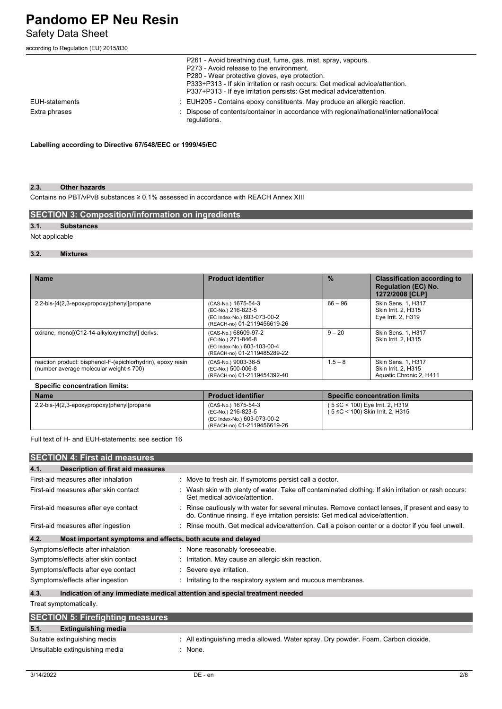Safety Data Sheet

according to Regulation (EU) 2015/830

|                | P261 - Avoid breathing dust, fume, gas, mist, spray, vapours.                                                                                         |
|----------------|-------------------------------------------------------------------------------------------------------------------------------------------------------|
|                | P273 - Avoid release to the environment.                                                                                                              |
|                | P280 - Wear protective gloves, eve protection.                                                                                                        |
|                | P333+P313 - If skin irritation or rash occurs: Get medical advice/attention.<br>P337+P313 - If eye irritation persists: Get medical advice/attention. |
| EUH-statements | : EUH205 - Contains epoxy constituents. May produce an allergic reaction.                                                                             |
| Extra phrases  | : Dispose of contents/container in accordance with regional/national/international/local<br>regulations.                                              |

#### **Labelling according to Directive 67/548/EEC or 1999/45/EC**

#### **2.3. Other hazards**

Contains no PBT/vPvB substances ≥ 0.1% assessed in accordance with REACH Annex XIII

#### **SECTION 3: Composition/information on ingredients**

### **3.1. Substances**

Not applicable

#### **3.2. Mixtures**

| <b>Name</b>                                                                                                  | <b>Product identifier</b>                                                                                | $\frac{9}{6}$ | <b>Classification according to</b><br><b>Regulation (EC) No.</b><br>1272/2008 [CLP] |
|--------------------------------------------------------------------------------------------------------------|----------------------------------------------------------------------------------------------------------|---------------|-------------------------------------------------------------------------------------|
| 2,2-bis-[4(2,3-epoxypropoxy)phenyl]propane                                                                   | (CAS-No.) 1675-54-3<br>(EC-No.) 216-823-5<br>(EC Index-No.) 603-073-00-2<br>(REACH-no) 01-2119456619-26  | $66 - 96$     | Skin Sens. 1, H317<br>Skin Irrit. 2. H315<br>Eye Irrit. 2, H319                     |
| oxirane, mono[(C12-14-alkyloxy)methyl] derivs.                                                               | (CAS-No.) 68609-97-2<br>(EC-No.) 271-846-8<br>(EC Index-No.) 603-103-00-4<br>(REACH-no) 01-2119485289-22 | $9 - 20$      | Skin Sens. 1, H317<br>Skin Irrit. 2. H315                                           |
| reaction product: bisphenol-F-(epichlorhydrin), epoxy resin<br>(number average molecular weight $\leq 700$ ) | (CAS-No.) 9003-36-5<br>(EC-No.) 500-006-8<br>(REACH-no) 01-2119454392-40                                 | $1.5 - 8$     | Skin Sens. 1, H317<br>Skin Irrit. 2. H315<br>Aquatic Chronic 2, H411                |
| <b>Specific concentration limits:</b>                                                                        |                                                                                                          |               |                                                                                     |

| <b>Name</b>                                | <b>Product identifier</b>                                                                               | <b>Specific concentration limits</b>                                 |
|--------------------------------------------|---------------------------------------------------------------------------------------------------------|----------------------------------------------------------------------|
| 2,2-bis-[4(2,3-epoxypropoxy)phenyl]propane | (CAS-No.) 1675-54-3<br>(EC-No.) 216-823-5<br>(EC Index-No.) 603-073-00-2<br>(REACH-no) 01-2119456619-26 | (5 ≤C < 100) Eye Irrit. 2, H319<br>( 5 ≤C < 100) Skin Irrit. 2, H315 |

Full text of H- and EUH-statements: see section 16

| <b>SECTION 4: First aid measures</b>                                |                                                                                                                                                                                     |
|---------------------------------------------------------------------|-------------------------------------------------------------------------------------------------------------------------------------------------------------------------------------|
| 4.1.<br>Description of first aid measures                           |                                                                                                                                                                                     |
| First-aid measures after inhalation                                 | : Move to fresh air. If symptoms persist call a doctor.                                                                                                                             |
| First-aid measures after skin contact                               | Wash skin with plenty of water. Take off contaminated clothing. If skin irritation or rash occurs:<br>Get medical advice/attention.                                                 |
| First-aid measures after eye contact                                | : Rinse cautiously with water for several minutes. Remove contact lenses, if present and easy to<br>do. Continue rinsing. If eye irritation persists: Get medical advice/attention. |
| First-aid measures after ingestion                                  | : Rinse mouth. Get medical advice/attention. Call a poison center or a doctor if you feel unwell.                                                                                   |
| 4.2.<br>Most important symptoms and effects, both acute and delayed |                                                                                                                                                                                     |
| Symptoms/effects after inhalation                                   | : None reasonably foreseeable.                                                                                                                                                      |
| Symptoms/effects after skin contact                                 | : Irritation. May cause an allergic skin reaction.                                                                                                                                  |
| Symptoms/effects after eye contact                                  | : Severe eye irritation.                                                                                                                                                            |
| Symptoms/effects after ingestion                                    | : Irritating to the respiratory system and mucous membranes.                                                                                                                        |
| 4.3.                                                                | Indication of any immediate medical attention and special treatment needed                                                                                                          |
| Treat symptomatically.                                              |                                                                                                                                                                                     |

| <b>SECTION 5: Firefighting measures</b> |                                                                                   |  |  |  |
|-----------------------------------------|-----------------------------------------------------------------------------------|--|--|--|
| 5.1.<br><b>Extinguishing media</b>      |                                                                                   |  |  |  |
| Suitable extinguishing media            | : All extinguishing media allowed. Water spray. Dry powder. Foam. Carbon dioxide. |  |  |  |
| Unsuitable extinguishing media          | None.                                                                             |  |  |  |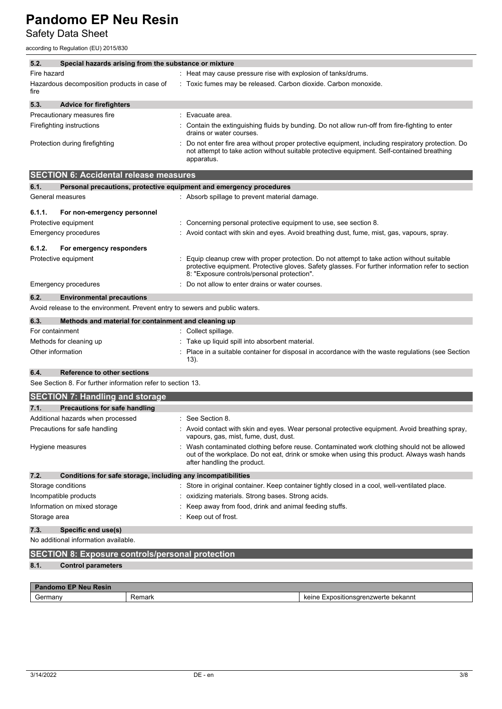Safety Data Sheet

according to Regulation (EU) 2015/830

| 5.2.                                                                        | Special hazards arising from the substance or mixture                                                                                                                                                        |  |  |  |
|-----------------------------------------------------------------------------|--------------------------------------------------------------------------------------------------------------------------------------------------------------------------------------------------------------|--|--|--|
| Fire hazard                                                                 | : Heat may cause pressure rise with explosion of tanks/drums.                                                                                                                                                |  |  |  |
| Hazardous decomposition products in case of<br>fire                         | : Toxic fumes may be released. Carbon dioxide. Carbon monoxide.                                                                                                                                              |  |  |  |
| 5.3.<br><b>Advice for firefighters</b>                                      |                                                                                                                                                                                                              |  |  |  |
| Precautionary measures fire                                                 | $\therefore$ Evacuate area.                                                                                                                                                                                  |  |  |  |
| Firefighting instructions                                                   | : Contain the extinguishing fluids by bunding. Do not allow run-off from fire-fighting to enter<br>drains or water courses.                                                                                  |  |  |  |
| Protection during firefighting                                              | Do not enter fire area without proper protective equipment, including respiratory protection. Do<br>not attempt to take action without suitable protective equipment. Self-contained breathing<br>apparatus. |  |  |  |
| <b>SECTION 6: Accidental release measures</b>                               |                                                                                                                                                                                                              |  |  |  |
| 6.1.<br>Personal precautions, protective equipment and emergency procedures |                                                                                                                                                                                                              |  |  |  |

| .                | <u>. Diganal biadaangingi biadaaliyo adalbiilaha ahla ahlal dalay biadaan ad</u> |                                                                                                                                                                                                                                                 |
|------------------|----------------------------------------------------------------------------------|-------------------------------------------------------------------------------------------------------------------------------------------------------------------------------------------------------------------------------------------------|
| General measures |                                                                                  | : Absorb spillage to prevent material damage.                                                                                                                                                                                                   |
| 6.1.1.           | For non-emergency personnel                                                      |                                                                                                                                                                                                                                                 |
|                  | Protective equipment                                                             | : Concerning personal protective equipment to use, see section 8.                                                                                                                                                                               |
|                  | <b>Emergency procedures</b>                                                      | : Avoid contact with skin and eyes. Avoid breathing dust, fume, mist, gas, vapours, spray.                                                                                                                                                      |
| 6.1.2.           | For emergency responders                                                         |                                                                                                                                                                                                                                                 |
|                  | Protective equipment                                                             | : Equip cleanup crew with proper protection. Do not attempt to take action without suitable<br>protective equipment. Protective gloves. Safety glasses. For further information refer to section<br>8: "Exposure controls/personal protection". |
|                  | Emergency procedures                                                             | : Do not allow to enter drains or water courses.                                                                                                                                                                                                |
| 6.2.             | <b>Environmental precautions</b>                                                 |                                                                                                                                                                                                                                                 |
|                  | Avoid release to the environment. Prevent entry to sewers and public waters.     |                                                                                                                                                                                                                                                 |

| 6.3.<br>Methods and material for containment and cleaning up |                                                                                                            |
|--------------------------------------------------------------|------------------------------------------------------------------------------------------------------------|
| For containment                                              | : Collect spillage.                                                                                        |
| Methods for cleaning up                                      | Take up liquid spill into absorbent material.                                                              |
| Other information                                            | : Place in a suitable container for disposal in accordance with the waste regulations (see Section<br>13). |

#### **6.4. Reference to other sections**

See Section 8. For further information refer to section 13.

| <b>SECTION 7: Handling and storage</b>                               |                                                                                                                                                                                                                         |  |
|----------------------------------------------------------------------|-------------------------------------------------------------------------------------------------------------------------------------------------------------------------------------------------------------------------|--|
| 7.1.<br>Precautions for safe handling                                |                                                                                                                                                                                                                         |  |
| Additional hazards when processed                                    | : See Section 8.                                                                                                                                                                                                        |  |
| Precautions for safe handling                                        | Avoid contact with skin and eyes. Wear personal protective equipment. Avoid breathing spray,<br>vapours, gas, mist, fume, dust, dust.                                                                                   |  |
| Hygiene measures                                                     | Wash contaminated clothing before reuse. Contaminated work clothing should not be allowed<br>out of the workplace. Do not eat, drink or smoke when using this product. Always wash hands<br>after handling the product. |  |
| 7.2.<br>Conditions for safe storage, including any incompatibilities |                                                                                                                                                                                                                         |  |
| Storage conditions                                                   | : Store in original container. Keep container tightly closed in a cool, well-ventilated place.                                                                                                                          |  |
| Incompatible products                                                | : oxidizing materials. Strong bases. Strong acids.                                                                                                                                                                      |  |
| Information on mixed storage                                         | : Keep away from food, drink and animal feeding stuffs.                                                                                                                                                                 |  |
| Storage area                                                         | $\therefore$ Keep out of frost                                                                                                                                                                                          |  |
| 7.3.<br>Specific end use(s)                                          |                                                                                                                                                                                                                         |  |
| No additional information available.                                 |                                                                                                                                                                                                                         |  |

## **SECTION 8: Exposure controls/personal protection**

#### **8.1. Control parameters**

| <b>Pandomo EP</b><br><b>Resin</b><br><b>Neu</b> |        |                                                                          |  |  |
|-------------------------------------------------|--------|--------------------------------------------------------------------------|--|--|
| $\overline{\phantom{0}}$<br>Germanv             | Remark | bekannt<br>keine<br>$\overline{\phantom{a}}$<br>nsıtınnsı<br><b>WAIF</b> |  |  |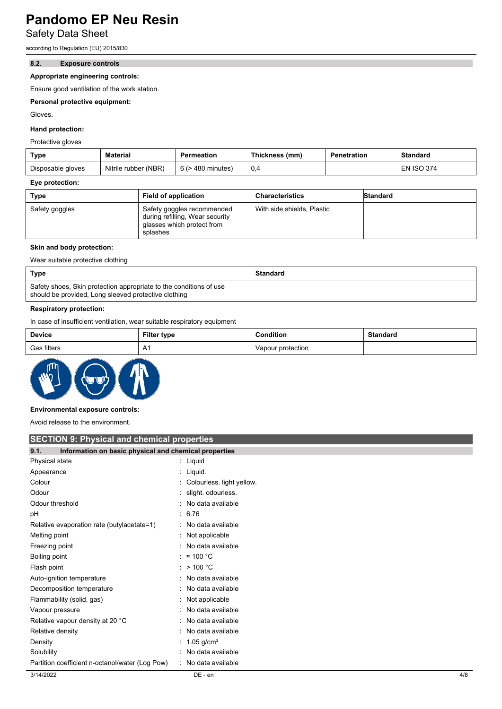Safety Data Sheet

according to Regulation (EU) 2015/830

#### **8.2. Exposure controls**

#### **Appropriate engineering controls:**

Ensure good ventilation of the work station.

#### **Personal protective equipment:**

Gloves.

### **Hand protection:**

Protective gloves

| Type              | Material             | Permeation        | Thickness (mm) | <b>Penetration</b> | Standard          |
|-------------------|----------------------|-------------------|----------------|--------------------|-------------------|
| Disposable gloves | Nitrile rubber (NBR) | 6 (> 480 minutes) | 0,4            |                    | <b>EN ISO 374</b> |

#### **Eye protection:**

| Type           | <b>Field of application</b>                                                                             | <b>Characteristics</b>     | Standard |
|----------------|---------------------------------------------------------------------------------------------------------|----------------------------|----------|
| Safety goggles | Safety goggles recommended<br>during refilling, Wear security<br>glasses which protect from<br>splashes | With side shields, Plastic |          |

#### **Skin and body protection:**

Wear suitable protective clothing

| Type                                                                                                                       | Standard |
|----------------------------------------------------------------------------------------------------------------------------|----------|
| Safety shoes, Skin protection appropriate to the conditions of use<br>should be provided, Long sleeved protective clothing |          |

### **Respiratory protection:**

In case of insufficient ventilation, wear suitable respiratory equipment

| <b>Device</b> | <b>Filter type</b> | Condition         | <b>Standard</b> |
|---------------|--------------------|-------------------|-----------------|
| Gas filters   | $\bigcap$          | Vapour protection |                 |



#### **Environmental exposure controls:**

Avoid release to the environment.

### **SECTION 9: Physical and chemical properties**

| SES HON STT Hydroan and Chommodi proportion                   |                             |     |
|---------------------------------------------------------------|-----------------------------|-----|
| 9.1.<br>Information on basic physical and chemical properties |                             |     |
| Physical state                                                | : Liquid                    |     |
| Appearance                                                    | : Liquid.                   |     |
| Colour                                                        | : Colourless. light yellow. |     |
| Odour                                                         | : slight. odourless.        |     |
| Odour threshold                                               | : No data available         |     |
| рH                                                            | : 6.76                      |     |
| Relative evaporation rate (butylacetate=1)                    | : No data available         |     |
| Melting point                                                 | : Not applicable            |     |
| Freezing point                                                | : No data available         |     |
| Boiling point                                                 | : $\approx 100 \degree C$   |     |
| Flash point                                                   | : $> 100 °C$                |     |
| Auto-ignition temperature                                     | : No data available         |     |
| Decomposition temperature                                     | No data available           |     |
| Flammability (solid, gas)                                     | Not applicable              |     |
| Vapour pressure                                               | : No data available         |     |
| Relative vapour density at 20 °C                              | : No data available         |     |
| Relative density                                              | No data available           |     |
| Density                                                       | : 1.05 g/cm <sup>3</sup>    |     |
| Solubility                                                    | : No data available         |     |
| Partition coefficient n-octanol/water (Log Pow)               | : No data available         |     |
| 3/14/2022                                                     | DE - en                     | 4/8 |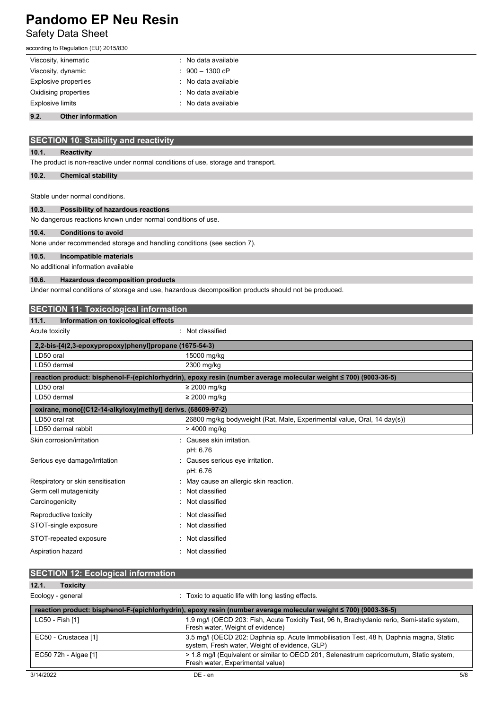# Safety Data Sheet

| according to Regulation (EU) 2015/830                                              |                                                                                                                 |
|------------------------------------------------------------------------------------|-----------------------------------------------------------------------------------------------------------------|
| Viscosity, kinematic                                                               | No data available                                                                                               |
| Viscosity, dynamic                                                                 | $900 - 1300$ cP                                                                                                 |
| <b>Explosive properties</b>                                                        | No data available                                                                                               |
| Oxidising properties                                                               | No data available                                                                                               |
| <b>Explosive limits</b>                                                            | No data available                                                                                               |
| 9.2.<br><b>Other information</b>                                                   |                                                                                                                 |
|                                                                                    |                                                                                                                 |
| <b>SECTION 10: Stability and reactivity</b>                                        |                                                                                                                 |
| 10.1.<br><b>Reactivity</b>                                                         |                                                                                                                 |
| The product is non-reactive under normal conditions of use, storage and transport. |                                                                                                                 |
|                                                                                    |                                                                                                                 |
| 10.2.<br><b>Chemical stability</b>                                                 |                                                                                                                 |
| Stable under normal conditions.                                                    |                                                                                                                 |
| 10.3.<br>Possibility of hazardous reactions                                        |                                                                                                                 |
| No dangerous reactions known under normal conditions of use.                       |                                                                                                                 |
| 10.4.<br><b>Conditions to avoid</b>                                                |                                                                                                                 |
| None under recommended storage and handling conditions (see section 7).            |                                                                                                                 |
| 10.5.<br>Incompatible materials                                                    |                                                                                                                 |
| No additional information available                                                |                                                                                                                 |
| 10.6.<br><b>Hazardous decomposition products</b>                                   |                                                                                                                 |
|                                                                                    | Under normal conditions of storage and use, hazardous decomposition products should not be produced.            |
|                                                                                    |                                                                                                                 |
| <b>SECTION 11: Toxicological information</b>                                       |                                                                                                                 |
| 11.1.<br>Information on toxicological effects                                      |                                                                                                                 |
| Acute toxicity                                                                     | : Not classified                                                                                                |
| 2,2-bis-[4(2,3-epoxypropoxy)phenyl]propane (1675-54-3)                             |                                                                                                                 |
| LD50 oral                                                                          | 15000 mg/kg                                                                                                     |
| LD50 dermal                                                                        | 2300 mg/kg                                                                                                      |
|                                                                                    | reaction product: bisphenol-F-(epichlorhydrin), epoxy resin (number average molecular weight ≤ 700) (9003-36-5) |
| LD50 oral                                                                          | $\geq$ 2000 mg/kg                                                                                               |
| LD50 dermal                                                                        | $\geq$ 2000 mg/kg                                                                                               |
| oxirane, mono[(C12-14-alkyloxy)methyl] derivs. (68609-97-2)                        |                                                                                                                 |
| LD50 oral rat                                                                      | 26800 mg/kg bodyweight (Rat, Male, Experimental value, Oral, 14 day(s))                                         |
| LD50 dermal rabbit                                                                 | > 4000 mg/kg                                                                                                    |
| Skin corrosion/irritation                                                          | : Causes skin irritation.<br>pH: 6.76                                                                           |
| Serious eye damage/irritation                                                      |                                                                                                                 |
|                                                                                    | Causes serious eye irritation.<br>pH: 6.76                                                                      |
| Respiratory or skin sensitisation                                                  | May cause an allergic skin reaction.                                                                            |
| Germ cell mutagenicity                                                             | Not classified                                                                                                  |
| Carcinogenicity                                                                    | Not classified                                                                                                  |
| Reproductive toxicity                                                              | Not classified                                                                                                  |
| STOT-single exposure                                                               | Not classified                                                                                                  |
| STOT-repeated exposure                                                             | Not classified                                                                                                  |
|                                                                                    |                                                                                                                 |
| Aspiration hazard                                                                  | : Not classified                                                                                                |
|                                                                                    |                                                                                                                 |
| <b>SECTION 12: Ecological information</b>                                          |                                                                                                                 |
| 12.1.<br><b>Toxicity</b>                                                           |                                                                                                                 |
| Ecology - general                                                                  | : Toxic to aquatic life with long lasting effects.                                                              |
|                                                                                    | reaction product: bisphenol-F-(epichlorhydrin), epoxy resin (number average molecular weight ≤ 700) (9003-36-5) |
|                                                                                    | 1.9 mg/l (OECD 203: Fish, Acute Toxicity Test, 96 h, Brachydanio rerio, Semi-static system,                     |
| LC50 - Fish [1]                                                                    | Fresh water, Weight of evidence)                                                                                |

system, Fresh water, Weight of evidence, GLP) EC50 72h - Algae [1] > 1.8 mg/l (Equivalent or similar to OECD 201, Selenastrum capricornutum, Static system, Fresh water, Experimental value)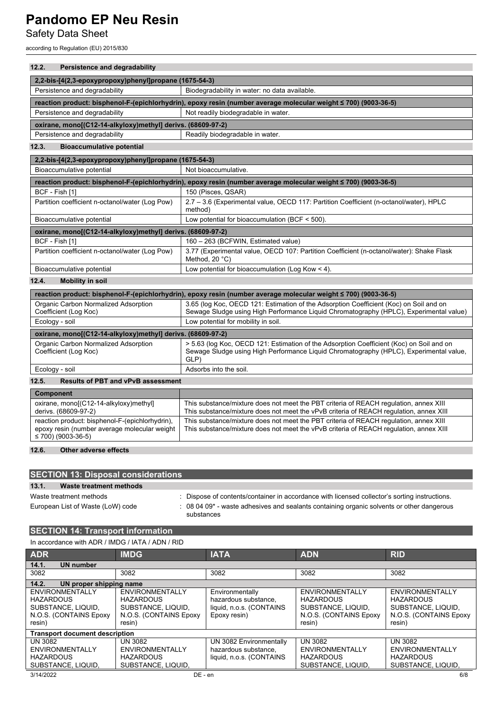Safety Data Sheet

according to Regulation (EU) 2015/830

### **12.2. Persistence and degradability**

| 2,2-bis-[4(2,3-epoxypropoxy)phenyl]propane (1675-54-3)                                                                     |                                                                                                                                                                                            |  |  |  |
|----------------------------------------------------------------------------------------------------------------------------|--------------------------------------------------------------------------------------------------------------------------------------------------------------------------------------------|--|--|--|
| Persistence and degradability                                                                                              | Biodegradability in water: no data available.                                                                                                                                              |  |  |  |
| reaction product: bisphenol-F-(epichlorhydrin), epoxy resin (number average molecular weight ≤ 700) (9003-36-5)            |                                                                                                                                                                                            |  |  |  |
| Persistence and degradability                                                                                              | Not readily biodegradable in water.                                                                                                                                                        |  |  |  |
| oxirane, mono[(C12-14-alkyloxy)methyl] derivs. (68609-97-2)                                                                |                                                                                                                                                                                            |  |  |  |
| Persistence and degradability                                                                                              | Readily biodegradable in water.                                                                                                                                                            |  |  |  |
| 12.3.<br><b>Bioaccumulative potential</b>                                                                                  |                                                                                                                                                                                            |  |  |  |
| 2,2-bis-[4(2,3-epoxypropoxy)phenyl]propane (1675-54-3)                                                                     |                                                                                                                                                                                            |  |  |  |
| Bioaccumulative potential                                                                                                  | Not bioaccumulative.                                                                                                                                                                       |  |  |  |
|                                                                                                                            | reaction product: bisphenol-F-(epichlorhydrin), epoxy resin (number average molecular weight ≤ 700) (9003-36-5)                                                                            |  |  |  |
| BCF - Fish [1]                                                                                                             | 150 (Pisces, QSAR)                                                                                                                                                                         |  |  |  |
| Partition coefficient n-octanol/water (Log Pow)                                                                            | 2.7 - 3.6 (Experimental value, OECD 117: Partition Coefficient (n-octanol/water), HPLC<br>method)                                                                                          |  |  |  |
| Bioaccumulative potential                                                                                                  | Low potential for bioaccumulation (BCF $<$ 500).                                                                                                                                           |  |  |  |
| oxirane, mono[(C12-14-alkyloxy)methyl] derivs. (68609-97-2)                                                                |                                                                                                                                                                                            |  |  |  |
| BCF - Fish [1]                                                                                                             | 160 - 263 (BCFWIN, Estimated value)                                                                                                                                                        |  |  |  |
| Partition coefficient n-octanol/water (Log Pow)                                                                            | 3.77 (Experimental value, OECD 107: Partition Coefficient (n-octanol/water): Shake Flask<br>Method, 20 °C)                                                                                 |  |  |  |
| Bioaccumulative potential                                                                                                  | Low potential for bioaccumulation (Log Kow < 4).                                                                                                                                           |  |  |  |
| 12.4.<br><b>Mobility in soil</b>                                                                                           |                                                                                                                                                                                            |  |  |  |
|                                                                                                                            | reaction product: bisphenol-F-(epichlorhydrin), epoxy resin (number average molecular weight ≤ 700) (9003-36-5)                                                                            |  |  |  |
| Organic Carbon Normalized Adsorption<br>Coefficient (Log Koc)                                                              | 3.65 (log Koc, OECD 121: Estimation of the Adsorption Coefficient (Koc) on Soil and on<br>Sewage Sludge using High Performance Liguid Chromatography (HPLC), Experimental value)           |  |  |  |
| Ecology - soil                                                                                                             | Low potential for mobility in soil.                                                                                                                                                        |  |  |  |
| oxirane, mono[(C12-14-alkyloxy)methyl] derivs. (68609-97-2)                                                                |                                                                                                                                                                                            |  |  |  |
| Organic Carbon Normalized Adsorption<br>Coefficient (Log Koc)                                                              | > 5.63 (log Koc, OECD 121: Estimation of the Adsorption Coefficient (Koc) on Soil and on<br>Sewage Sludge using High Performance Liquid Chromatography (HPLC), Experimental value,<br>GLP) |  |  |  |
| Ecology - soil                                                                                                             | Adsorbs into the soil.                                                                                                                                                                     |  |  |  |
| 12.5.<br><b>Results of PBT and vPvB assessment</b>                                                                         |                                                                                                                                                                                            |  |  |  |
| <b>Component</b>                                                                                                           |                                                                                                                                                                                            |  |  |  |
| oxirane, mono[(C12-14-alkyloxy)methyl]<br>derivs. (68609-97-2)                                                             | This substance/mixture does not meet the PBT criteria of REACH regulation, annex XIII<br>This substance/mixture does not meet the vPvB criteria of REACH regulation, annex XIII            |  |  |  |
| reaction product: bisphenol-F-(epichlorhydrin),<br>epoxy resin (number average molecular weight<br>$\leq$ 700) (9003-36-5) | This substance/mixture does not meet the PBT criteria of REACH requlation, annex XIII<br>This substance/mixture does not meet the vPvB criteria of REACH regulation, annex XIII            |  |  |  |

### **12.6. Other adverse effects**

| <b>SECTION 13: Disposal considerations</b> |                                                                                                         |  |  |  |
|--------------------------------------------|---------------------------------------------------------------------------------------------------------|--|--|--|
| 13.1.<br>Waste treatment methods           |                                                                                                         |  |  |  |
| Waste treatment methods                    | : Dispose of contents/container in accordance with licensed collector's sorting instructions.           |  |  |  |
| European List of Waste (LoW) code          | : 08 04 09* - waste adhesives and sealants containing organic solvents or other dangerous<br>substances |  |  |  |

## **SECTION 14: Transport information**

| In accordance with ADR / IMDG / IATA / ADN / RID                                              |                                                                                               |                                                                                     |                                                                                               |                                                                                               |
|-----------------------------------------------------------------------------------------------|-----------------------------------------------------------------------------------------------|-------------------------------------------------------------------------------------|-----------------------------------------------------------------------------------------------|-----------------------------------------------------------------------------------------------|
| <b>ADR</b>                                                                                    | <b>IMDG</b>                                                                                   | <b>IATA</b>                                                                         | <b>ADN</b>                                                                                    | <b>RID</b>                                                                                    |
| 14.1.<br><b>UN number</b>                                                                     |                                                                                               |                                                                                     |                                                                                               |                                                                                               |
| 3082                                                                                          | 3082                                                                                          | 3082                                                                                | 3082                                                                                          | 3082                                                                                          |
| 14.2.<br>UN proper shipping name                                                              |                                                                                               |                                                                                     |                                                                                               |                                                                                               |
| ENVIRONMENTALLY<br><b>HAZARDOUS</b><br>SUBSTANCE, LIQUID,<br>N.O.S. (CONTAINS Epoxy<br>resin) | ENVIRONMENTALLY<br><b>HAZARDOUS</b><br>SUBSTANCE, LIQUID,<br>N.O.S. (CONTAINS Epoxy<br>resin) | Environmentally<br>hazardous substance.<br>liquid, n.o.s. (CONTAINS<br>Epoxy resin) | ENVIRONMENTALLY<br><b>HAZARDOUS</b><br>SUBSTANCE, LIQUID,<br>N.O.S. (CONTAINS Epoxy<br>resin) | ENVIRONMENTALLY<br><b>HAZARDOUS</b><br>SUBSTANCE, LIQUID,<br>N.O.S. (CONTAINS Epoxy<br>resin) |
| <b>Transport document description</b>                                                         |                                                                                               |                                                                                     |                                                                                               |                                                                                               |
| UN 3082<br>ENVIRONMENTALLY<br><b>HAZARDOUS</b><br>SUBSTANCE, LIQUID,                          | UN 3082<br>ENVIRONMENTALLY<br><b>HAZARDOUS</b><br>SUBSTANCE, LIQUID.                          | UN 3082 Environmentally<br>hazardous substance,<br>liquid, n.o.s. (CONTAINS         | <b>UN 3082</b><br>ENVIRONMENTALLY<br><b>HAZARDOUS</b><br>SUBSTANCE, LIQUID,                   | <b>UN 3082</b><br>ENVIRONMENTALLY<br><b>HAZARDOUS</b><br>SUBSTANCE, LIQUID,                   |
| 3/14/2022                                                                                     | DE - en                                                                                       |                                                                                     |                                                                                               | 6/8                                                                                           |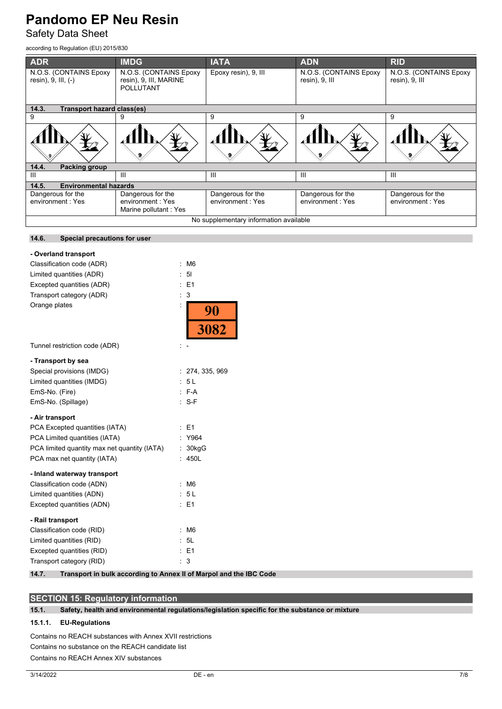Safety Data Sheet

according to Regulation (EU) 2015/830

**14.6. Special precautions for user**

| <b>ADR</b>                                    | <b>IMDG</b>                                                          | <b>IATA</b>                           | <b>ADN</b>                               | <b>RID</b>                               |
|-----------------------------------------------|----------------------------------------------------------------------|---------------------------------------|------------------------------------------|------------------------------------------|
| N.O.S. (CONTAINS Epoxy<br>resin), 9, III, (-) | N.O.S. (CONTAINS Epoxy<br>resin), 9, III, MARINE<br><b>POLLUTANT</b> | Epoxy resin), 9, III                  | N.O.S. (CONTAINS Epoxy<br>resin), 9, III | N.O.S. (CONTAINS Epoxy<br>resin), 9, III |
|                                               |                                                                      |                                       |                                          |                                          |
| 14.3.<br><b>Transport hazard class(es)</b>    |                                                                      |                                       |                                          |                                          |
| 9                                             | 9                                                                    | 9                                     | 9                                        | 9                                        |
|                                               |                                                                      |                                       |                                          |                                          |
| 14.4.<br>Packing group                        |                                                                      |                                       |                                          |                                          |
| Ш                                             | Ш                                                                    | Ш                                     | Ш                                        | Ш                                        |
| <b>Environmental hazards</b><br>14.5.         |                                                                      |                                       |                                          |                                          |
| Dangerous for the<br>environment: Yes         | Dangerous for the<br>environment: Yes<br>Marine pollutant: Yes       | Dangerous for the<br>environment: Yes | Dangerous for the<br>environment: Yes    | Dangerous for the<br>environment: Yes    |
| No supplementary information available        |                                                                      |                                       |                                          |                                          |

| - Overland transport<br>Classification code (ADR)<br>Limited quantities (ADR)<br>Excepted quantities (ADR)<br>Transport category (ADR)<br>Orange plates | ÷<br>ł. | M <sub>6</sub><br>5 <sub>1</sub><br>E1<br>3 |
|---------------------------------------------------------------------------------------------------------------------------------------------------------|---------|---------------------------------------------|
|                                                                                                                                                         |         | $\frac{90}{3082}$                           |
|                                                                                                                                                         |         |                                             |
| Tunnel restriction code (ADR)                                                                                                                           |         |                                             |
| - Transport by sea                                                                                                                                      |         |                                             |
| Special provisions (IMDG)                                                                                                                               |         | : 274, 335, 969                             |
| Limited quantities (IMDG)                                                                                                                               |         | 5L                                          |
| EmS-No. (Fire)                                                                                                                                          |         | $: F-A$                                     |
| EmS-No. (Spillage)                                                                                                                                      |         | $: S-F$                                     |
| - Air transport                                                                                                                                         |         |                                             |
| PCA Excepted quantities (IATA)                                                                                                                          |         | E1                                          |
| PCA Limited quantities (IATA)                                                                                                                           |         | Y964                                        |
| PCA limited quantity max net quantity (IATA)                                                                                                            | ÷.      | 30kgG                                       |
| PCA max net quantity (IATA)                                                                                                                             |         | 450L                                        |
| - Inland waterway transport                                                                                                                             |         |                                             |
| Classification code (ADN)                                                                                                                               | ÷.      | M <sub>6</sub>                              |
| Limited quantities (ADN)                                                                                                                                |         | 5L                                          |
| Excepted quantities (ADN)                                                                                                                               |         | $E = 1$                                     |
| - Rail transport                                                                                                                                        |         |                                             |
| Classification code (RID)                                                                                                                               | ÷.      | M6                                          |
| Limited quantities (RID)                                                                                                                                |         | 5L                                          |
| Excepted quantities (RID)                                                                                                                               | ÷.      | E <sub>1</sub>                              |
| Transport category (RID)                                                                                                                                |         | 3                                           |

**14.7. Transport in bulk according to Annex II of Marpol and the IBC Code**

## **SECTION 15: Regulatory information**

**15.1. Safety, health and environmental regulations/legislation specific for the substance or mixture**

### **15.1.1. EU-Regulations**

Contains no REACH substances with Annex XVII restrictions Contains no substance on the REACH candidate list Contains no REACH Annex XIV substances